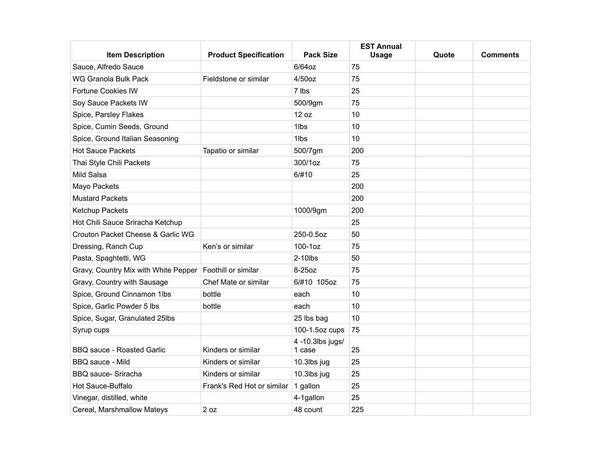| <b>Item Description</b>                                    | <b>Product Specification</b> | <b>Pack Size</b>           | <b>EST Annual</b><br><b>Usage</b> | Quote | <b>Comments</b> |
|------------------------------------------------------------|------------------------------|----------------------------|-----------------------------------|-------|-----------------|
| Sauce, Alfredo Sauce                                       |                              | 6/64oz                     | 75                                |       |                 |
| WG Granola Bulk Pack                                       | Fieldstone or similar        | $4/50$ oz                  | 75                                |       |                 |
| <b>Fortune Cookies IW</b>                                  |                              | 7 lbs                      | 25                                |       |                 |
| Soy Sauce Packets IW                                       |                              | 500/9gm                    | 75                                |       |                 |
| Spice, Parsley Flakes                                      |                              | 12 oz                      | 10                                |       |                 |
| Spice, Cumin Seeds, Ground                                 |                              | 1lbs                       | 10                                |       |                 |
| Spice, Ground Italian Seasoning                            |                              | 1lbs                       | 10                                |       |                 |
| <b>Hot Sauce Packets</b>                                   | Tapatio or similar           | 500/7gm                    | 200                               |       |                 |
| Thai Style Chili Packets                                   |                              | 300/1oz                    | 75                                |       |                 |
| Mild Salsa                                                 |                              | 6/#10                      | 25                                |       |                 |
| Mayo Packets                                               |                              |                            | 200                               |       |                 |
| <b>Mustard Packets</b>                                     |                              |                            | 200                               |       |                 |
| Ketchup Packets                                            |                              | 1000/9gm                   | 200                               |       |                 |
| Hot Chili Sauce Sriracha Ketchup                           |                              |                            | 25                                |       |                 |
| Crouton Packet Cheese & Garlic WG                          |                              | 250-0.5oz                  | 50                                |       |                 |
| Dressing, Ranch Cup                                        | Ken's or similar             | 100-1oz                    | 75                                |       |                 |
| Pasta, Spaghtetti, WG                                      |                              | $2-10$ lbs                 | 50                                |       |                 |
| Gravy, Country Mix with White Pepper   Foothill or similar |                              | 8-25oz                     | 75                                |       |                 |
| Gravy, Country with Sausage                                | Chef Mate or similar         | 6/#10 105oz                | 75                                |       |                 |
| Spice, Ground Cinnamon 1lbs                                | bottle                       | each                       | 10                                |       |                 |
| Spice, Garlic Powder 5 lbs                                 | bottle                       | each                       | 10                                |       |                 |
| Spice, Sugar, Granulated 25lbs                             |                              | 25 lbs bag                 | 10                                |       |                 |
| Syrup cups                                                 |                              | 100-1.5oz cups             | 75                                |       |                 |
| <b>BBQ sauce - Roasted Garlic</b>                          | Kinders or similar           | 4 -10.3lbs jugs/<br>1 case | 25                                |       |                 |
| BBQ sauce - Mild                                           | Kinders or similar           | 10.3lbs jug                | 25                                |       |                 |
| <b>BBQ</b> sauce- Sriracha                                 | Kinders or similar           | 10.3lbs jug                | 25                                |       |                 |
| Hot Sauce-Buffalo                                          | Frank's Red Hot or similar   | 1 gallon                   | 25                                |       |                 |
| Vinegar, distilled, white                                  |                              | 4-1gallon                  | 25                                |       |                 |
| Cereal, Marshmallow Mateys                                 | 2 oz                         | 48 count                   | 225                               |       |                 |